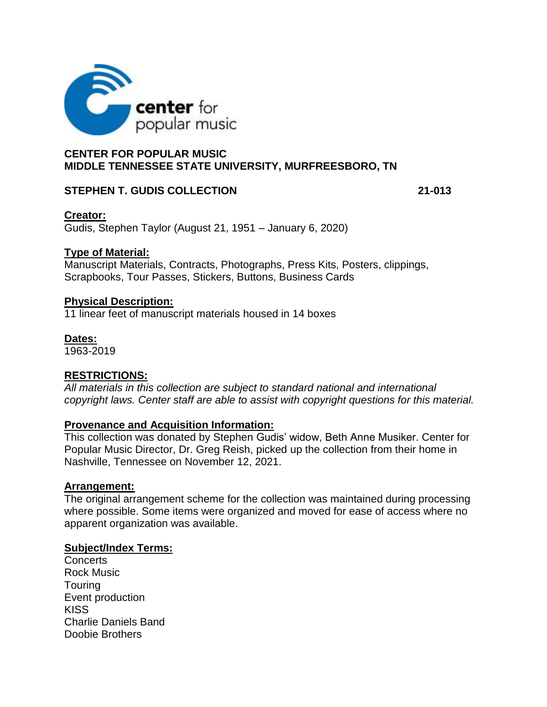

# **CENTER FOR POPULAR MUSIC MIDDLE TENNESSEE STATE UNIVERSITY, MURFREESBORO, TN**

## **STEPHEN T. GUDIS COLLECTION 21-013**

## **Creator:**

Gudis, Stephen Taylor (August 21, 1951 – January 6, 2020)

## **Type of Material:**

Manuscript Materials, Contracts, Photographs, Press Kits, Posters, clippings, Scrapbooks, Tour Passes, Stickers, Buttons, Business Cards

## **Physical Description:**

11 linear feet of manuscript materials housed in 14 boxes

## **Dates:**

1963-2019

# **RESTRICTIONS:**

*All materials in this collection are subject to standard national and international copyright laws. Center staff are able to assist with copyright questions for this material.* 

## **Provenance and Acquisition Information:**

This collection was donated by Stephen Gudis' widow, Beth Anne Musiker. Center for Popular Music Director, Dr. Greg Reish, picked up the collection from their home in Nashville, Tennessee on November 12, 2021.

## **Arrangement:**

The original arrangement scheme for the collection was maintained during processing where possible. Some items were organized and moved for ease of access where no apparent organization was available.

## **Subject/Index Terms:**

**Concerts** Rock Music **Touring** Event production **KISS** Charlie Daniels Band Doobie Brothers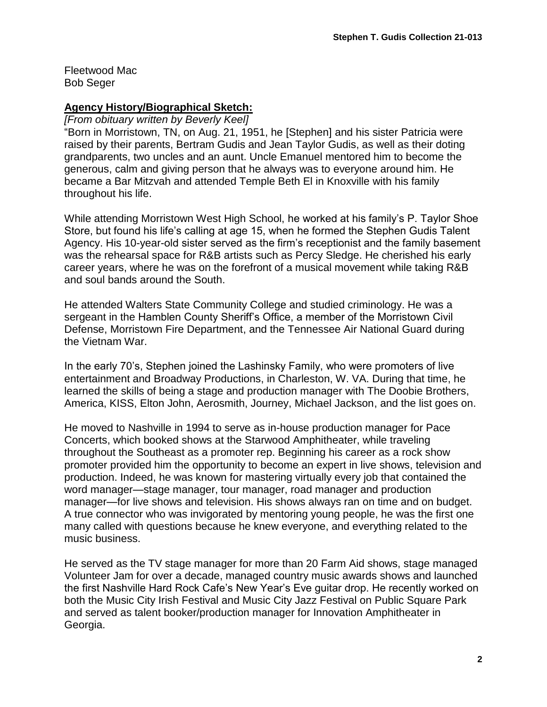Fleetwood Mac Bob Seger

## **Agency History/Biographical Sketch:**

*[From obituary written by Beverly Keel]*

"Born in Morristown, TN, on Aug. 21, 1951, he [Stephen] and his sister Patricia were raised by their parents, Bertram Gudis and Jean Taylor Gudis, as well as their doting grandparents, two uncles and an aunt. Uncle Emanuel mentored him to become the generous, calm and giving person that he always was to everyone around him. He became a Bar Mitzvah and attended Temple Beth El in Knoxville with his family throughout his life.

While attending Morristown West High School, he worked at his family's P. Taylor Shoe Store, but found his life's calling at age 15, when he formed the Stephen Gudis Talent Agency. His 10-year-old sister served as the firm's receptionist and the family basement was the rehearsal space for R&B artists such as Percy Sledge. He cherished his early career years, where he was on the forefront of a musical movement while taking R&B and soul bands around the South.

He attended Walters State Community College and studied criminology. He was a sergeant in the Hamblen County Sheriff's Office, a member of the Morristown Civil Defense, Morristown Fire Department, and the Tennessee Air National Guard during the Vietnam War.

In the early 70's, Stephen joined the Lashinsky Family, who were promoters of live entertainment and Broadway Productions, in Charleston, W. VA. During that time, he learned the skills of being a stage and production manager with The Doobie Brothers, America, KISS, Elton John, Aerosmith, Journey, Michael Jackson, and the list goes on.

He moved to Nashville in 1994 to serve as in-house production manager for Pace Concerts, which booked shows at the Starwood Amphitheater, while traveling throughout the Southeast as a promoter rep. Beginning his career as a rock show promoter provided him the opportunity to become an expert in live shows, television and production. Indeed, he was known for mastering virtually every job that contained the word manager—stage manager, tour manager, road manager and production manager—for live shows and television. His shows always ran on time and on budget. A true connector who was invigorated by mentoring young people, he was the first one many called with questions because he knew everyone, and everything related to the music business.

He served as the TV stage manager for more than 20 Farm Aid shows, stage managed Volunteer Jam for over a decade, managed country music awards shows and launched the first Nashville Hard Rock Cafe's New Year's Eve guitar drop. He recently worked on both the Music City Irish Festival and Music City Jazz Festival on Public Square Park and served as talent booker/production manager for Innovation Amphitheater in Georgia.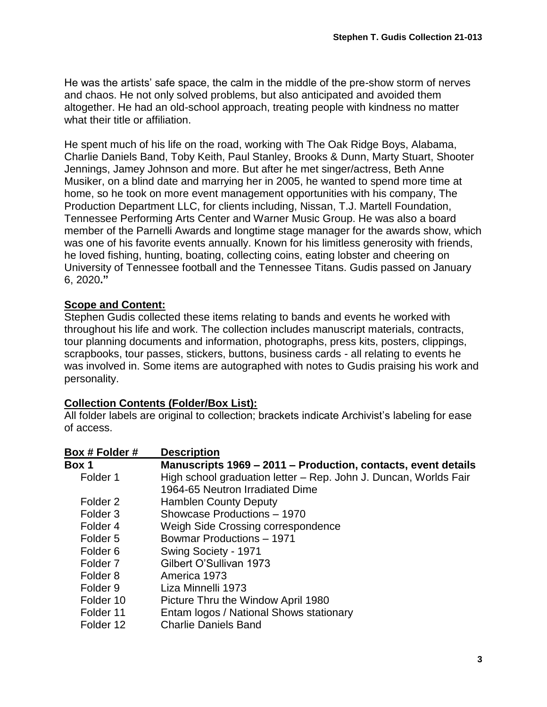He was the artists' safe space, the calm in the middle of the pre-show storm of nerves and chaos. He not only solved problems, but also anticipated and avoided them altogether. He had an old-school approach, treating people with kindness no matter what their title or affiliation.

He spent much of his life on the road, working with The Oak Ridge Boys, Alabama, Charlie Daniels Band, Toby Keith, Paul Stanley, Brooks & Dunn, Marty Stuart, Shooter Jennings, Jamey Johnson and more. But after he met singer/actress, Beth Anne Musiker, on a blind date and marrying her in 2005, he wanted to spend more time at home, so he took on more event management opportunities with his company, The Production Department LLC, for clients including, Nissan, T.J. Martell Foundation, Tennessee Performing Arts Center and Warner Music Group. He was also a board member of the Parnelli Awards and longtime stage manager for the awards show, which was one of his favorite events annually. Known for his limitless generosity with friends, he loved fishing, hunting, boating, collecting coins, eating lobster and cheering on University of Tennessee football and the Tennessee Titans. Gudis passed on January 6, 2020**."**

## **Scope and Content:**

Stephen Gudis collected these items relating to bands and events he worked with throughout his life and work. The collection includes manuscript materials, contracts, tour planning documents and information, photographs, press kits, posters, clippings, scrapbooks, tour passes, stickers, buttons, business cards - all relating to events he was involved in. Some items are autographed with notes to Gudis praising his work and personality.

## **Collection Contents (Folder/Box List):**

All folder labels are original to collection; brackets indicate Archivist's labeling for ease of access.

| Box # Folder #      | <b>Description</b>                                               |
|---------------------|------------------------------------------------------------------|
| Box 1               | Manuscripts 1969 – 2011 – Production, contacts, event details    |
| Folder 1            | High school graduation letter - Rep. John J. Duncan, Worlds Fair |
|                     | 1964-65 Neutron Irradiated Dime                                  |
| Folder <sub>2</sub> | <b>Hamblen County Deputy</b>                                     |
| Folder <sub>3</sub> | Showcase Productions - 1970                                      |
| Folder <sub>4</sub> | Weigh Side Crossing correspondence                               |
| Folder 5            | <b>Bowmar Productions - 1971</b>                                 |
| Folder <sub>6</sub> | Swing Society - 1971                                             |
| Folder <sub>7</sub> | Gilbert O'Sullivan 1973                                          |
| Folder <sub>8</sub> | America 1973                                                     |
| Folder <sub>9</sub> | Liza Minnelli 1973                                               |
| Folder 10           | Picture Thru the Window April 1980                               |
| Folder 11           | Entam logos / National Shows stationary                          |
| Folder 12           | <b>Charlie Daniels Band</b>                                      |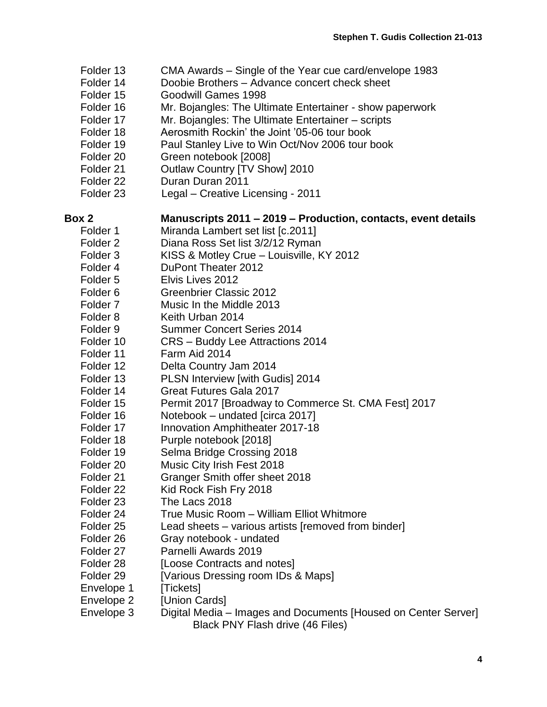- Folder 13 CMA Awards Single of the Year cue card/envelope 1983
- Folder 14 Doobie Brothers Advance concert check sheet
- Folder 15 Goodwill Games 1998
- Folder 16 Mr. Bojangles: The Ultimate Entertainer show paperwork
- Folder 17 Mr. Bojangles: The Ultimate Entertainer scripts
- Folder 18 Aerosmith Rockin' the Joint '05-06 tour book
- Folder 19 Paul Stanley Live to Win Oct/Nov 2006 tour book
- Folder 20 Green notebook [2008]
- Folder 21 Outlaw Country [TV Show] 2010
- Folder 22 Duran Duran 2011
- Folder 23 Legal Creative Licensing 2011

| Box 2                | Manuscripts 2011 - 2019 - Production, contacts, event details  |
|----------------------|----------------------------------------------------------------|
| Folder 1             | Miranda Lambert set list [c.2011]                              |
| Folder <sub>2</sub>  | Diana Ross Set list 3/2/12 Ryman                               |
| Folder <sub>3</sub>  | KISS & Motley Crue - Louisville, KY 2012                       |
| Folder 4             | DuPont Theater 2012                                            |
| Folder <sub>5</sub>  | Elvis Lives 2012                                               |
| Folder 6             | <b>Greenbrier Classic 2012</b>                                 |
| Folder <sub>7</sub>  | Music In the Middle 2013                                       |
| Folder 8             | Keith Urban 2014                                               |
| Folder 9             | <b>Summer Concert Series 2014</b>                              |
| Folder 10            | CRS - Buddy Lee Attractions 2014                               |
| Folder 11            | Farm Aid 2014                                                  |
| Folder 12            | Delta Country Jam 2014                                         |
| Folder 13            | PLSN Interview [with Gudis] 2014                               |
| Folder 14            | <b>Great Futures Gala 2017</b>                                 |
| Folder 15            | Permit 2017 [Broadway to Commerce St. CMA Fest] 2017           |
| Folder 16            | Notebook - undated [circa 2017]                                |
| Folder 17            | Innovation Amphitheater 2017-18                                |
| Folder 18            | Purple notebook [2018]                                         |
| Folder 19            | Selma Bridge Crossing 2018                                     |
| Folder 20            | Music City Irish Fest 2018                                     |
| Folder 21            | Granger Smith offer sheet 2018                                 |
| Folder 22            | Kid Rock Fish Fry 2018                                         |
| Folder 23            | The Lacs 2018                                                  |
| Folder 24            | True Music Room - William Elliot Whitmore                      |
| Folder <sub>25</sub> | Lead sheets - various artists [removed from binder]            |
| Folder 26            | Gray notebook - undated                                        |
| Folder 27            | Parnelli Awards 2019                                           |
| Folder 28            | [Loose Contracts and notes]                                    |
| Folder 29            | [Various Dressing room IDs & Maps]                             |
| Envelope 1           | [Tickets]                                                      |
| Envelope 2           | [Union Cards]                                                  |
| Envelope 3           | Digital Media – Images and Documents [Housed on Center Server] |
|                      | Black PNY Flash drive (46 Files)                               |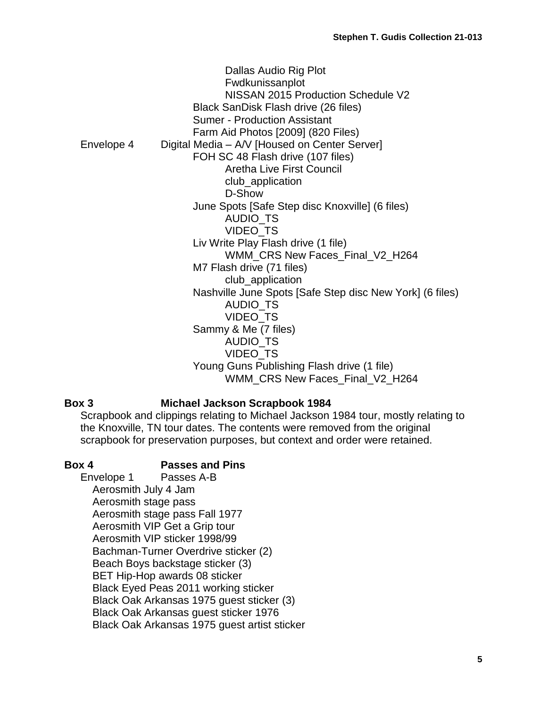|            | Dallas Audio Rig Plot<br>Fwdkunissanplot<br>NISSAN 2015 Production Schedule V2<br>Black SanDisk Flash drive (26 files)<br><b>Sumer - Production Assistant</b> |
|------------|---------------------------------------------------------------------------------------------------------------------------------------------------------------|
|            | Farm Aid Photos [2009] (820 Files)                                                                                                                            |
| Envelope 4 | Digital Media – A/V [Housed on Center Server]                                                                                                                 |
|            | FOH SC 48 Flash drive (107 files)                                                                                                                             |
|            | <b>Aretha Live First Council</b>                                                                                                                              |
|            | club_application                                                                                                                                              |
|            | D-Show                                                                                                                                                        |
|            | June Spots [Safe Step disc Knoxville] (6 files)                                                                                                               |
|            | AUDIO_TS                                                                                                                                                      |
|            | VIDEO_TS                                                                                                                                                      |
|            | Liv Write Play Flash drive (1 file)                                                                                                                           |
|            | WMM_CRS New Faces_Final_V2_H264                                                                                                                               |
|            | M7 Flash drive (71 files)                                                                                                                                     |
|            | club_application                                                                                                                                              |
|            | Nashville June Spots [Safe Step disc New York] (6 files)                                                                                                      |
|            | <b>AUDIO_TS</b>                                                                                                                                               |
|            | VIDEO_TS                                                                                                                                                      |
|            | Sammy & Me (7 files)                                                                                                                                          |
|            | <b>AUDIO TS</b>                                                                                                                                               |
|            | <b>VIDEO TS</b>                                                                                                                                               |
|            | Young Guns Publishing Flash drive (1 file)                                                                                                                    |
|            | WMM CRS New Faces Final V2 H264                                                                                                                               |

## **Box 3 Michael Jackson Scrapbook 1984**

Scrapbook and clippings relating to Michael Jackson 1984 tour, mostly relating to the Knoxville, TN tour dates. The contents were removed from the original scrapbook for preservation purposes, but context and order were retained.

**Box 4 Passes and Pins** Envelope 1 Passes A-B Aerosmith July 4 Jam Aerosmith stage pass Aerosmith stage pass Fall 1977 Aerosmith VIP Get a Grip tour Aerosmith VIP sticker 1998/99 Bachman-Turner Overdrive sticker (2) Beach Boys backstage sticker (3) BET Hip-Hop awards 08 sticker Black Eyed Peas 2011 working sticker Black Oak Arkansas 1975 guest sticker (3) Black Oak Arkansas guest sticker 1976 Black Oak Arkansas 1975 guest artist sticker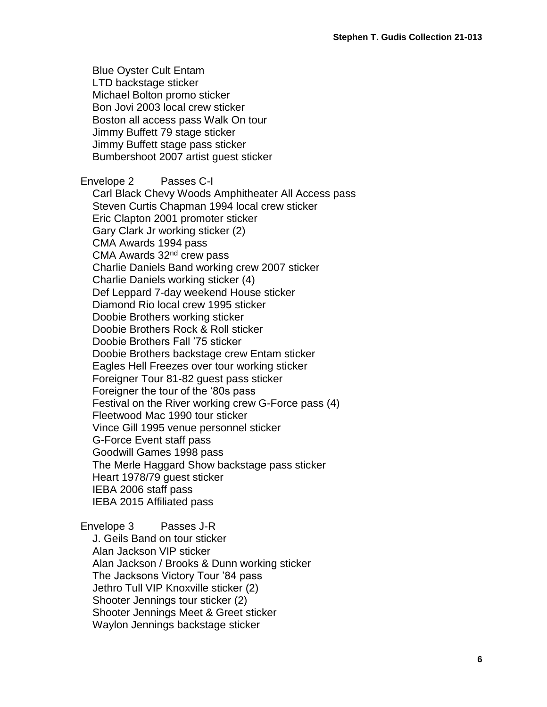Blue Oyster Cult Entam LTD backstage sticker Michael Bolton promo sticker Bon Jovi 2003 local crew sticker Boston all access pass Walk On tour Jimmy Buffett 79 stage sticker Jimmy Buffett stage pass sticker Bumbershoot 2007 artist guest sticker

Envelope 2 Passes C-I Carl Black Chevy Woods Amphitheater All Access pass Steven Curtis Chapman 1994 local crew sticker Eric Clapton 2001 promoter sticker Gary Clark Jr working sticker (2) CMA Awards 1994 pass CMA Awards 32<sup>nd</sup> crew pass Charlie Daniels Band working crew 2007 sticker Charlie Daniels working sticker (4) Def Leppard 7-day weekend House sticker Diamond Rio local crew 1995 sticker Doobie Brothers working sticker Doobie Brothers Rock & Roll sticker Doobie Brothers Fall '75 sticker Doobie Brothers backstage crew Entam sticker Eagles Hell Freezes over tour working sticker Foreigner Tour 81-82 guest pass sticker Foreigner the tour of the '80s pass Festival on the River working crew G-Force pass (4) Fleetwood Mac 1990 tour sticker Vince Gill 1995 venue personnel sticker G-Force Event staff pass Goodwill Games 1998 pass The Merle Haggard Show backstage pass sticker Heart 1978/79 guest sticker IEBA 2006 staff pass IEBA 2015 Affiliated pass

### Envelope 3 Passes J-R

J. Geils Band on tour sticker Alan Jackson VIP sticker Alan Jackson / Brooks & Dunn working sticker The Jacksons Victory Tour '84 pass Jethro Tull VIP Knoxville sticker (2) Shooter Jennings tour sticker (2) Shooter Jennings Meet & Greet sticker Waylon Jennings backstage sticker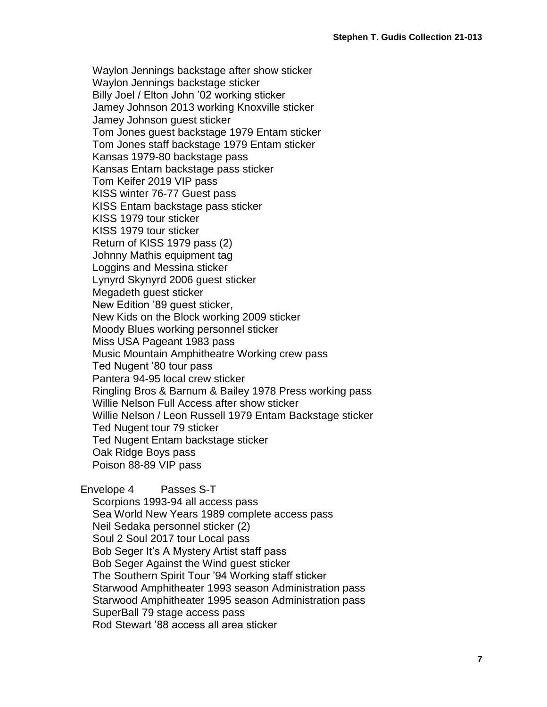Waylon Jennings backstage after show sticker Waylon Jennings backstage sticker Billy Joel / Elton John '02 working sticker Jamey Johnson 2013 working Knoxville sticker Jamey Johnson guest sticker Tom Jones guest backstage 1979 Entam sticker Tom Jones staff backstage 1979 Entam sticker Kansas 1979-80 backstage pass Kansas Entam backstage pass sticker Tom Keifer 2019 VIP pass KISS winter 76-77 Guest pass KISS Entam backstage pass sticker KISS 1979 tour sticker KISS 1979 tour sticker Return of KISS 1979 pass (2) Johnny Mathis equipment tag Loggins and Messina sticker Lynyrd Skynyrd 2006 guest sticker Megadeth guest sticker New Edition '89 guest sticker, New Kids on the Block working 2009 sticker Moody Blues working personnel sticker Miss USA Pageant 1983 pass Music Mountain Amphitheatre Working crew pass Ted Nugent '80 tour pass Pantera 94-95 local crew sticker Ringling Bros & Barnum & Bailey 1978 Press working pass Willie Nelson Full Access after show sticker Willie Nelson / Leon Russell 1979 Entam Backstage sticker Ted Nugent tour 79 sticker Ted Nugent Entam backstage sticker Oak Ridge Boys pass Poison 88-89 VIP pass

Envelope 4 Passes S-T Scorpions 1993-94 all access pass Sea World New Years 1989 complete access pass Neil Sedaka personnel sticker (2) Soul 2 Soul 2017 tour Local pass Bob Seger It's A Mystery Artist staff pass Bob Seger Against the Wind guest sticker The Southern Spirit Tour '94 Working staff sticker Starwood Amphitheater 1993 season Administration pass Starwood Amphitheater 1995 season Administration pass SuperBall 79 stage access pass Rod Stewart '88 access all area sticker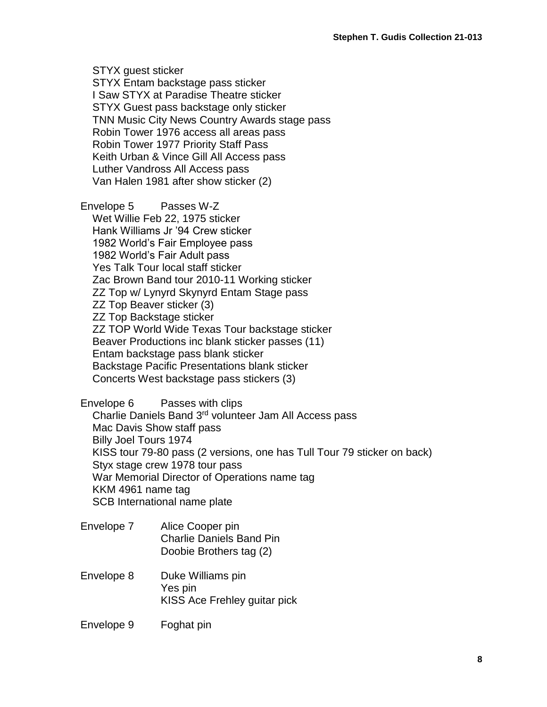STYX guest sticker STYX Entam backstage pass sticker I Saw STYX at Paradise Theatre sticker STYX Guest pass backstage only sticker TNN Music City News Country Awards stage pass Robin Tower 1976 access all areas pass Robin Tower 1977 Priority Staff Pass Keith Urban & Vince Gill All Access pass Luther Vandross All Access pass Van Halen 1981 after show sticker (2)

Envelope 5 Passes W-Z Wet Willie Feb 22, 1975 sticker Hank Williams Jr '94 Crew sticker 1982 World's Fair Employee pass 1982 World's Fair Adult pass Yes Talk Tour local staff sticker Zac Brown Band tour 2010-11 Working sticker ZZ Top w/ Lynyrd Skynyrd Entam Stage pass ZZ Top Beaver sticker (3) ZZ Top Backstage sticker ZZ TOP World Wide Texas Tour backstage sticker Beaver Productions inc blank sticker passes (11) Entam backstage pass blank sticker Backstage Pacific Presentations blank sticker Concerts West backstage pass stickers (3)

Envelope 6 Passes with clips Charlie Daniels Band 3rd volunteer Jam All Access pass Mac Davis Show staff pass Billy Joel Tours 1974 KISS tour 79-80 pass (2 versions, one has Tull Tour 79 sticker on back) Styx stage crew 1978 tour pass War Memorial Director of Operations name tag KKM 4961 name tag SCB International name plate

- Envelope 7 Alice Cooper pin Charlie Daniels Band Pin Doobie Brothers tag (2)
- Envelope 8 Duke Williams pin Yes pin KISS Ace Frehley guitar pick
- Envelope 9 Foghat pin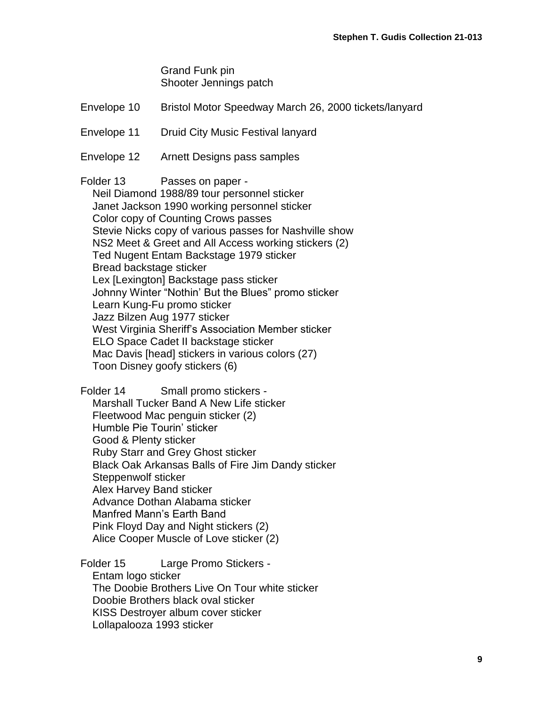Grand Funk pin Shooter Jennings patch

Envelope 10 Bristol Motor Speedway March 26, 2000 tickets/lanyard

Envelope 11 Druid City Music Festival lanyard

Envelope 12 Arnett Designs pass samples

Folder 13 Passes on paper -

Neil Diamond 1988/89 tour personnel sticker Janet Jackson 1990 working personnel sticker Color copy of Counting Crows passes Stevie Nicks copy of various passes for Nashville show NS2 Meet & Greet and All Access working stickers (2) Ted Nugent Entam Backstage 1979 sticker Bread backstage sticker Lex [Lexington] Backstage pass sticker Johnny Winter "Nothin' But the Blues" promo sticker Learn Kung-Fu promo sticker Jazz Bilzen Aug 1977 sticker West Virginia Sheriff's Association Member sticker ELO Space Cadet II backstage sticker Mac Davis [head] stickers in various colors (27) Toon Disney goofy stickers (6)

Folder 14 Small promo stickers - Marshall Tucker Band A New Life sticker Fleetwood Mac penguin sticker (2) Humble Pie Tourin' sticker Good & Plenty sticker Ruby Starr and Grey Ghost sticker Black Oak Arkansas Balls of Fire Jim Dandy sticker Steppenwolf sticker Alex Harvey Band sticker Advance Dothan Alabama sticker Manfred Mann's Earth Band Pink Floyd Day and Night stickers (2) Alice Cooper Muscle of Love sticker (2)

Folder 15 Large Promo Stickers - Entam logo sticker The Doobie Brothers Live On Tour white sticker Doobie Brothers black oval sticker KISS Destroyer album cover sticker Lollapalooza 1993 sticker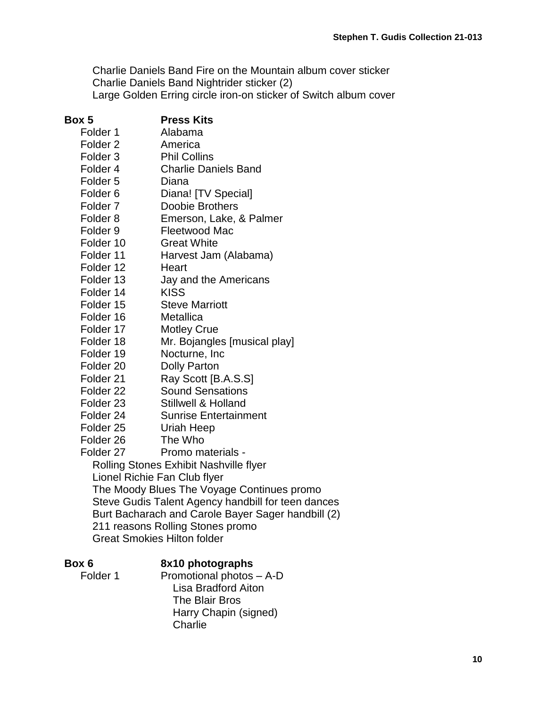Charlie Daniels Band Fire on the Mountain album cover sticker Charlie Daniels Band Nightrider sticker (2) Large Golden Erring circle iron-on sticker of Switch album cover

### **Box 5 Press Kits**

Folder 1 Alabama Folder 2 America Folder 3 Phil Collins Folder 4 Charlie Daniels Band Folder 5 Diana Folder 6 Diana! [TV Special] Folder 7 Doobie Brothers Folder 8 Emerson, Lake, & Palmer Folder 9 Fleetwood Mac Folder 10 Great White Folder 11 Harvest Jam (Alabama) Folder 12 Heart Folder 13 Jay and the Americans Folder 14 KISS Folder 15 Steve Marriott Folder 16 Metallica Folder 17 Motley Crue Folder 18 Mr. Bojangles [musical play] Folder 19 Nocturne, Inc. Folder 20 Dolly Parton Folder 21 Ray Scott [B.A.S.S] Folder 22 Sound Sensations Folder 23 Stillwell & Holland Folder 24 Sunrise Entertainment Folder 25 Uriah Heep

Folder 26 The Who

Folder 27 Promo materials -

Rolling Stones Exhibit Nashville flyer Lionel Richie Fan Club flyer The Moody Blues The Voyage Continues promo Steve Gudis Talent Agency handbill for teen dances Burt Bacharach and Carole Bayer Sager handbill (2) 211 reasons Rolling Stones promo Great Smokies Hilton folder

## **Box 6 8x10 photographs**

**Charlie** 

Folder 1 Promotional photos – A-D Lisa Bradford Aiton The Blair Bros

Harry Chapin (signed)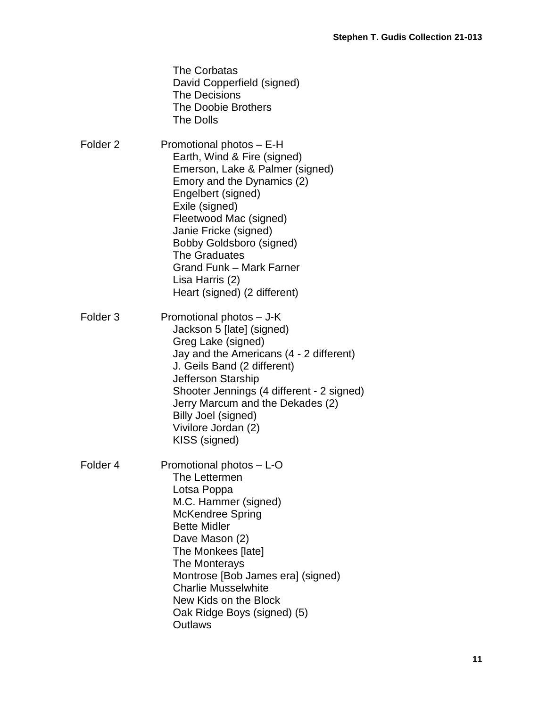|                     | The Corbatas<br>David Copperfield (signed)<br><b>The Decisions</b><br>The Doobie Brothers<br><b>The Dolls</b>                                                                                                                                                                                                                                                 |
|---------------------|---------------------------------------------------------------------------------------------------------------------------------------------------------------------------------------------------------------------------------------------------------------------------------------------------------------------------------------------------------------|
| Folder <sub>2</sub> | Promotional photos - E-H<br>Earth, Wind & Fire (signed)<br>Emerson, Lake & Palmer (signed)<br>Emory and the Dynamics (2)<br>Engelbert (signed)<br>Exile (signed)<br>Fleetwood Mac (signed)<br>Janie Fricke (signed)<br>Bobby Goldsboro (signed)<br><b>The Graduates</b><br><b>Grand Funk - Mark Farner</b><br>Lisa Harris (2)<br>Heart (signed) (2 different) |
| Folder <sub>3</sub> | Promotional photos - J-K<br>Jackson 5 [late] (signed)<br>Greg Lake (signed)<br>Jay and the Americans (4 - 2 different)<br>J. Geils Band (2 different)<br>Jefferson Starship<br>Shooter Jennings (4 different - 2 signed)<br>Jerry Marcum and the Dekades (2)<br>Billy Joel (signed)<br>Vivilore Jordan (2)<br>KISS (signed)                                   |
| Folder 4            | Promotional photos - L-O<br>The Lettermen<br>Lotsa Poppa<br>M.C. Hammer (signed)<br><b>McKendree Spring</b><br><b>Bette Midler</b><br>Dave Mason (2)<br>The Monkees [late]<br>The Monterays<br>Montrose [Bob James era] (signed)<br><b>Charlie Musselwhite</b><br>New Kids on the Block<br>Oak Ridge Boys (signed) (5)<br><b>Outlaws</b>                      |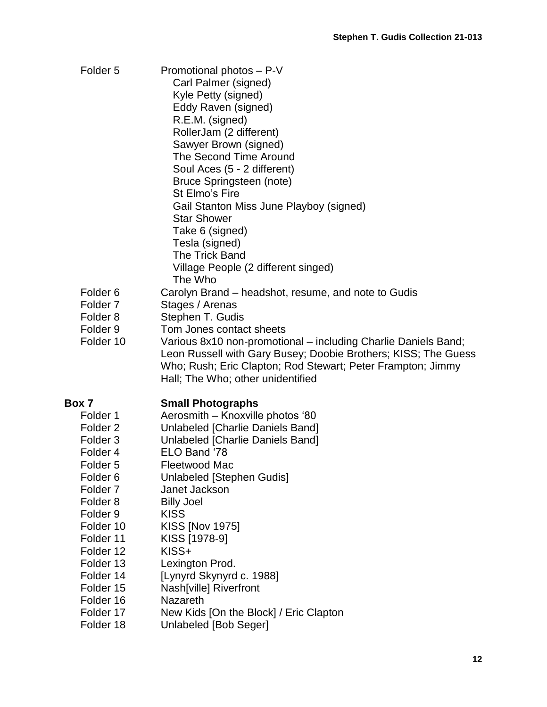| Folder <sub>5</sub>                        | Promotional photos - P-V<br>Carl Palmer (signed)<br>Kyle Petty (signed)<br>Eddy Raven (signed)<br>R.E.M. (signed)<br>RollerJam (2 different)<br>Sawyer Brown (signed)<br><b>The Second Time Around</b><br>Soul Aces (5 - 2 different)<br>Bruce Springsteen (note)<br>St Elmo's Fire<br>Gail Stanton Miss June Playboy (signed)<br><b>Star Shower</b><br>Take 6 (signed)<br>Tesla (signed)<br>The Trick Band<br>Village People (2 different singed)<br>The Who |
|--------------------------------------------|---------------------------------------------------------------------------------------------------------------------------------------------------------------------------------------------------------------------------------------------------------------------------------------------------------------------------------------------------------------------------------------------------------------------------------------------------------------|
| Folder <sub>6</sub><br>Folder <sub>7</sub> | Carolyn Brand – headshot, resume, and note to Gudis<br>Stages / Arenas                                                                                                                                                                                                                                                                                                                                                                                        |
| Folder <sub>8</sub>                        | Stephen T. Gudis                                                                                                                                                                                                                                                                                                                                                                                                                                              |
| Folder <sub>9</sub>                        | Tom Jones contact sheets                                                                                                                                                                                                                                                                                                                                                                                                                                      |
| Folder 10                                  | Various 8x10 non-promotional – including Charlie Daniels Band;<br>Leon Russell with Gary Busey; Doobie Brothers; KISS; The Guess<br>Who; Rush; Eric Clapton; Rod Stewart; Peter Frampton; Jimmy<br>Hall; The Who; other unidentified                                                                                                                                                                                                                          |
| Box 7                                      | <b>Small Photographs</b>                                                                                                                                                                                                                                                                                                                                                                                                                                      |
| Folder 1                                   | Aerosmith - Knoxville photos '80                                                                                                                                                                                                                                                                                                                                                                                                                              |
| Folder <sub>2</sub>                        | Unlabeled [Charlie Daniels Band]                                                                                                                                                                                                                                                                                                                                                                                                                              |
| Folder <sub>3</sub>                        | Unlabeled [Charlie Daniels Band]                                                                                                                                                                                                                                                                                                                                                                                                                              |
| Folder 4                                   | ELO Band '78                                                                                                                                                                                                                                                                                                                                                                                                                                                  |
| Folder 5                                   | <b>Fleetwood Mac</b>                                                                                                                                                                                                                                                                                                                                                                                                                                          |
| Folder <sub>6</sub>                        | Unlabeled [Stephen Gudis]                                                                                                                                                                                                                                                                                                                                                                                                                                     |
| Folder <sub>7</sub>                        | Janet Jackson                                                                                                                                                                                                                                                                                                                                                                                                                                                 |
| Folder <sub>8</sub>                        | <b>Billy Joel</b>                                                                                                                                                                                                                                                                                                                                                                                                                                             |
| Folder <sub>9</sub>                        | <b>KISS</b>                                                                                                                                                                                                                                                                                                                                                                                                                                                   |
| Folder 10                                  | <b>KISS [Nov 1975]</b>                                                                                                                                                                                                                                                                                                                                                                                                                                        |
| Folder 11<br>Folder 12                     | KISS [1978-9]<br>KISS+                                                                                                                                                                                                                                                                                                                                                                                                                                        |
| Folder 13                                  |                                                                                                                                                                                                                                                                                                                                                                                                                                                               |
| Folder 14                                  | Lexington Prod.<br>[Lynyrd Skynyrd c. 1988]                                                                                                                                                                                                                                                                                                                                                                                                                   |
| Folder 15                                  | Nash[ville] Riverfront                                                                                                                                                                                                                                                                                                                                                                                                                                        |
| Folder 16                                  | <b>Nazareth</b>                                                                                                                                                                                                                                                                                                                                                                                                                                               |
| Folder 17                                  | New Kids [On the Block] / Eric Clapton                                                                                                                                                                                                                                                                                                                                                                                                                        |
| Folder 18                                  | Unlabeled [Bob Seger]                                                                                                                                                                                                                                                                                                                                                                                                                                         |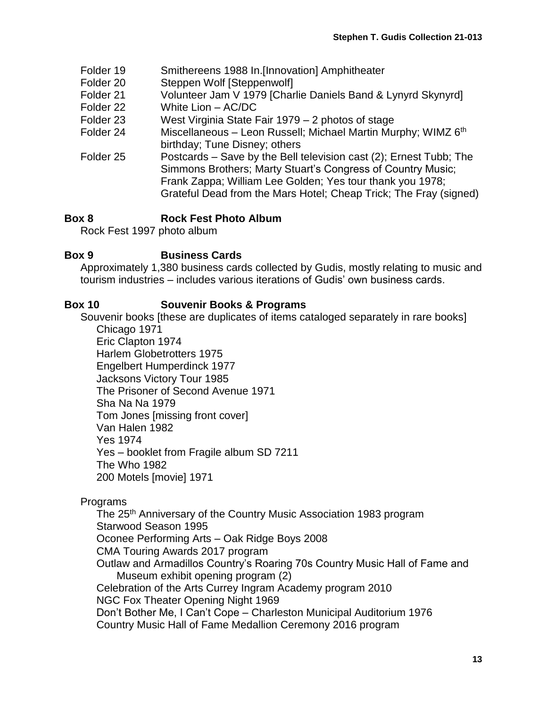- Folder 19 Smithereens 1988 In.[Innovation] Amphitheater
- Folder 20 Steppen Wolf [Steppenwolf]
- Folder 21 Volunteer Jam V 1979 [Charlie Daniels Band & Lynyrd Skynyrd]
- Folder 22 White Lion AC/DC
- Folder 23 West Virginia State Fair 1979 2 photos of stage
- Folder 24 Miscellaneous Leon Russell; Michael Martin Murphy; WIMZ 6<sup>th</sup> birthday; Tune Disney; others
- Folder 25 Postcards Save by the Bell television cast (2); Ernest Tubb; The Simmons Brothers; Marty Stuart's Congress of Country Music; Frank Zappa; William Lee Golden; Yes tour thank you 1978; Grateful Dead from the Mars Hotel; Cheap Trick; The Fray (signed)

# **Box 8 Rock Fest Photo Album**

Rock Fest 1997 photo album

## **Box 9 Business Cards**

Approximately 1,380 business cards collected by Gudis, mostly relating to music and tourism industries – includes various iterations of Gudis' own business cards.

# **Box 10 Souvenir Books & Programs**

Souvenir books [these are duplicates of items cataloged separately in rare books] Chicago 1971

Eric Clapton 1974 Harlem Globetrotters 1975 Engelbert Humperdinck 1977 Jacksons Victory Tour 1985 The Prisoner of Second Avenue 1971 Sha Na Na 1979 Tom Jones [missing front cover] Van Halen 1982 Yes 1974 Yes – booklet from Fragile album SD 7211 The Who 1982 200 Motels [movie] 1971

**Programs** 

The 25<sup>th</sup> Anniversary of the Country Music Association 1983 program Starwood Season 1995 Oconee Performing Arts – Oak Ridge Boys 2008 CMA Touring Awards 2017 program Outlaw and Armadillos Country's Roaring 70s Country Music Hall of Fame and Museum exhibit opening program (2) Celebration of the Arts Currey Ingram Academy program 2010 NGC Fox Theater Opening Night 1969 Don't Bother Me, I Can't Cope – Charleston Municipal Auditorium 1976 Country Music Hall of Fame Medallion Ceremony 2016 program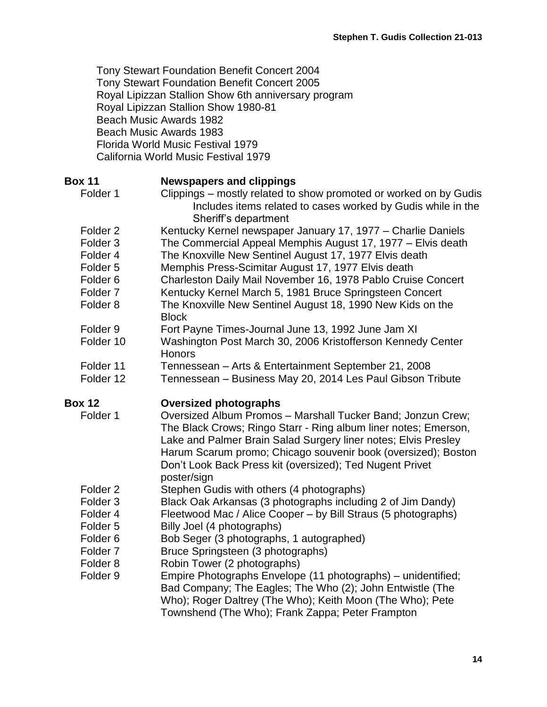Tony Stewart Foundation Benefit Concert 2004 Tony Stewart Foundation Benefit Concert 2005 Royal Lipizzan Stallion Show 6th anniversary program Royal Lipizzan Stallion Show 1980-81 Beach Music Awards 1982 Beach Music Awards 1983 Florida World Music Festival 1979 California World Music Festival 1979

| <b>Box 11</b><br>Folder 1 | <b>Newspapers and clippings</b><br>Clippings - mostly related to show promoted or worked on by Gudis<br>Includes items related to cases worked by Gudis while in the                                                                                                                                                                         |
|---------------------------|----------------------------------------------------------------------------------------------------------------------------------------------------------------------------------------------------------------------------------------------------------------------------------------------------------------------------------------------|
|                           | Sheriff's department                                                                                                                                                                                                                                                                                                                         |
| Folder <sub>2</sub>       | Kentucky Kernel newspaper January 17, 1977 - Charlie Daniels                                                                                                                                                                                                                                                                                 |
| Folder <sub>3</sub>       | The Commercial Appeal Memphis August 17, 1977 - Elvis death                                                                                                                                                                                                                                                                                  |
| Folder 4                  | The Knoxville New Sentinel August 17, 1977 Elvis death                                                                                                                                                                                                                                                                                       |
| Folder <sub>5</sub>       | Memphis Press-Scimitar August 17, 1977 Elvis death                                                                                                                                                                                                                                                                                           |
| Folder <sub>6</sub>       | Charleston Daily Mail November 16, 1978 Pablo Cruise Concert                                                                                                                                                                                                                                                                                 |
| Folder <sub>7</sub>       | Kentucky Kernel March 5, 1981 Bruce Springsteen Concert                                                                                                                                                                                                                                                                                      |
| Folder <sub>8</sub>       | The Knoxville New Sentinel August 18, 1990 New Kids on the<br><b>Block</b>                                                                                                                                                                                                                                                                   |
| Folder <sub>9</sub>       | Fort Payne Times-Journal June 13, 1992 June Jam XI                                                                                                                                                                                                                                                                                           |
| Folder 10                 | Washington Post March 30, 2006 Kristofferson Kennedy Center<br>Honors                                                                                                                                                                                                                                                                        |
| Folder 11                 | Tennessean - Arts & Entertainment September 21, 2008                                                                                                                                                                                                                                                                                         |
| Folder 12                 | Tennessean - Business May 20, 2014 Les Paul Gibson Tribute                                                                                                                                                                                                                                                                                   |
| <b>Box 12</b>             | <b>Oversized photographs</b>                                                                                                                                                                                                                                                                                                                 |
|                           |                                                                                                                                                                                                                                                                                                                                              |
| Folder 1                  | Oversized Album Promos - Marshall Tucker Band; Jonzun Crew;<br>The Black Crows; Ringo Starr - Ring album liner notes; Emerson,<br>Lake and Palmer Brain Salad Surgery liner notes; Elvis Presley<br>Harum Scarum promo; Chicago souvenir book (oversized); Boston<br>Don't Look Back Press kit (oversized); Ted Nugent Privet<br>poster/sign |
| Folder <sub>2</sub>       | Stephen Gudis with others (4 photographs)                                                                                                                                                                                                                                                                                                    |
| Folder <sub>3</sub>       | Black Oak Arkansas (3 photographs including 2 of Jim Dandy)                                                                                                                                                                                                                                                                                  |
| Folder 4                  | Fleetwood Mac / Alice Cooper – by Bill Straus (5 photographs)                                                                                                                                                                                                                                                                                |
| Folder <sub>5</sub>       | Billy Joel (4 photographs)                                                                                                                                                                                                                                                                                                                   |
| Folder <sub>6</sub>       | Bob Seger (3 photographs, 1 autographed)                                                                                                                                                                                                                                                                                                     |
| Folder <sub>7</sub>       | Bruce Springsteen (3 photographs)                                                                                                                                                                                                                                                                                                            |
| Folder <sub>8</sub>       | Robin Tower (2 photographs)                                                                                                                                                                                                                                                                                                                  |
| Folder <sub>9</sub>       | Empire Photographs Envelope (11 photographs) – unidentified;                                                                                                                                                                                                                                                                                 |
|                           | Bad Company; The Eagles; The Who (2); John Entwistle (The<br>Who); Roger Daltrey (The Who); Keith Moon (The Who); Pete<br>Townshend (The Who); Frank Zappa; Peter Frampton                                                                                                                                                                   |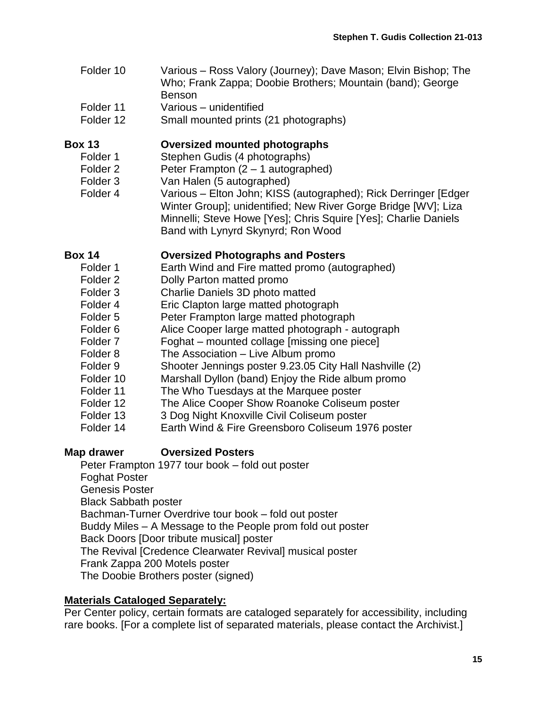- Folder 10 Various Ross Valory (Journey); Dave Mason; Elvin Bishop; The Who; Frank Zappa; Doobie Brothers; Mountain (band); George Benson
- Folder 11 Various unidentified
- Folder 12 Small mounted prints (21 photographs)

## **Box 13 Oversized mounted photographs**

- Folder 1 Stephen Gudis (4 photographs)
- Folder 2 **Peter Frampton (2 1 autographed)**
- Folder 3 Van Halen (5 autographed)
- Folder 4 Various Elton John; KISS (autographed); Rick Derringer [Edger Winter Group]; unidentified; New River Gorge Bridge [WV]; Liza Minnelli; Steve Howe [Yes]; Chris Squire [Yes]; Charlie Daniels Band with Lynyrd Skynyrd; Ron Wood

## **Box 14 Oversized Photographs and Posters**

Folder 1 Earth Wind and Fire matted promo (autographed) Folder 2 **Dolly Parton matted promo** Folder 3 Charlie Daniels 3D photo matted Folder 4 Eric Clapton large matted photograph Folder 5 **Peter Frampton large matted photograph** Folder 6 Alice Cooper large matted photograph - autograph Folder 7 Foghat – mounted collage [missing one piece] Folder 8 The Association – Live Album promo Folder 9 Shooter Jennings poster 9.23.05 City Hall Nashville (2) Folder 10 Marshall Dyllon (band) Enjoy the Ride album promo Folder 11 The Who Tuesdays at the Marquee poster Folder 12 The Alice Cooper Show Roanoke Coliseum poster Folder 13 3 Dog Night Knoxville Civil Coliseum poster Folder 14 Earth Wind & Fire Greensboro Coliseum 1976 poster

# **Map drawer Oversized Posters**

Peter Frampton 1977 tour book – fold out poster Foghat Poster Genesis Poster Black Sabbath poster Bachman-Turner Overdrive tour book – fold out poster Buddy Miles – A Message to the People prom fold out poster Back Doors [Door tribute musical] poster The Revival [Credence Clearwater Revival] musical poster Frank Zappa 200 Motels poster The Doobie Brothers poster (signed)

## **Materials Cataloged Separately:**

Per Center policy, certain formats are cataloged separately for accessibility, including rare books. [For a complete list of separated materials, please contact the Archivist.]